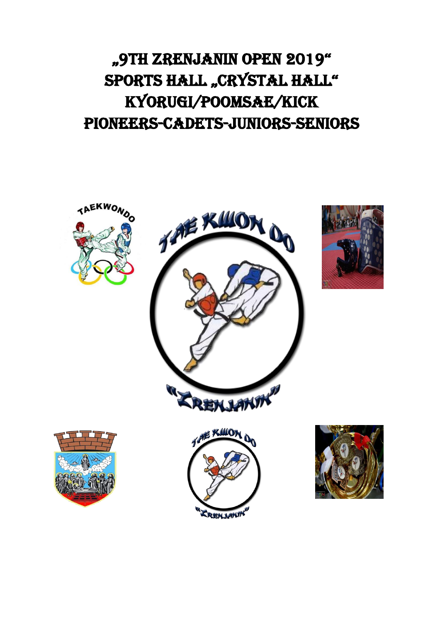# "9th Zrenjanin Open 2019" SPORTS HALL "CRYSTAL HALL" Kyorugi/Poomsae/Kick Pioneers-Cadets-Juniors-Seniors

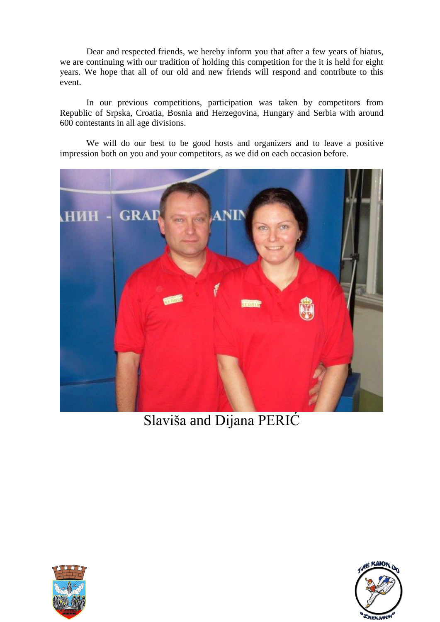Dear and respected friends, we hereby inform you that after a few years of hiatus, we are continuing with our tradition of holding this competition for the it is held for eight years. We hope that all of our old and new friends will respond and contribute to this event.

In our previous competitions, participation was taken by competitors from Republic of Srpska, Croatia, Bosnia and Herzegovina, Hungary and Serbia with around 600 contestants in all age divisions.

We will do our best to be good hosts and organizers and to leave a positive impression both on you and your competitors, as we did on each occasion before.



Slaviša and Dijana PERIĆ



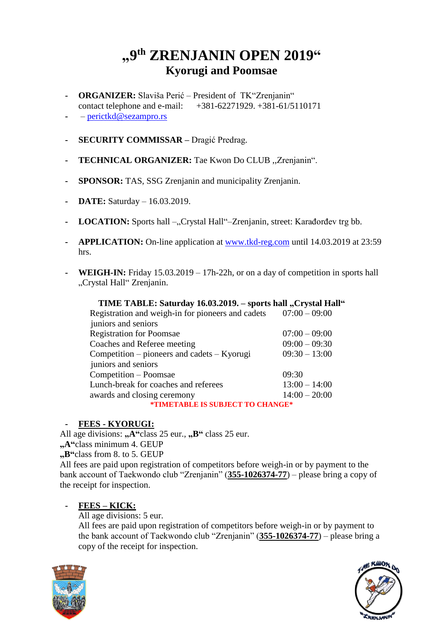# **"9 th ZRENJANIN OPEN 2019" Kyorugi and Poomsae**

- **- ORGANIZER:** Slaviša Perić President of TK"Zrenjanin" contact telephone and e-mail:+381-62271929. +381-61/5110171
- **-** [perictkd@sezampro.rs](mailto:perictkd@sezampro.rs)
- **- SECURITY COMMISSAR –** Dragić Predrag.
- **- TECHNICAL ORGANIZER:** Tae Kwon Do CLUB ,,Zrenjanin".
- **- SPONSOR:** TAS, SSG Zrenjanin and municipality Zrenjanin.
- **- DATE:** Saturday 16.03.2019.
- **LOCATION:** Sports hall –,,Crystal Hall"–Zrenjanin, street: Karađorđev trg bb.
- **- APPLICATION:** On-line application at [www.tkd-reg.com](http://www.tkd-reg.com/) until 14.03.2019 at 23:59 hrs.
- **WEIGH-IN:** Friday 15.03.2019 17h-22h, or on a day of competition in sports hall "Crystal Hall" Zrenjanin.

| TIME TABLE: Saturday 16.03.2019. - sports hall "Crystal Hall" |                 |
|---------------------------------------------------------------|-----------------|
| Registration and weigh-in for pioneers and cadets             | $07:00 - 09:00$ |
| juniors and seniors                                           |                 |
| <b>Registration for Poomsae</b>                               | $07:00 - 09:00$ |
| Coaches and Referee meeting                                   | $09:00 - 09:30$ |
| Competition – pioneers and cadets – Kyorugi                   | $09:30 - 13:00$ |
| juniors and seniors                                           |                 |
| Competition - Poomsae                                         | 09:30           |
| Lunch-break for coaches and referees                          | $13:00 - 14:00$ |
| awards and closing ceremony                                   | $14:00 - 20:00$ |
| *TIMETABLE IS SUBJECT TO CHANGE*                              |                 |

#### **- FEES - KYORUGI:**

All age divisions: "A"class 25 eur., "B" class 25 eur. **"A"**class minimum 4. GEUP **"B"**class from 8. to 5. GEUP All fees are paid upon registration of competitors before weigh-in or by payment to the bank account of Taekwondo club "Zrenjanin" (**355-1026374-77**) – please bring a copy of the receipt for inspection.

#### **- FEES – KICK:**

All age divisions: 5 eur.

All fees are paid upon registration of competitors before weigh-in or by payment to the bank account of Taekwondo club "Zrenjanin" (**355-1026374-77**) – please bring a copy of the receipt for inspection.



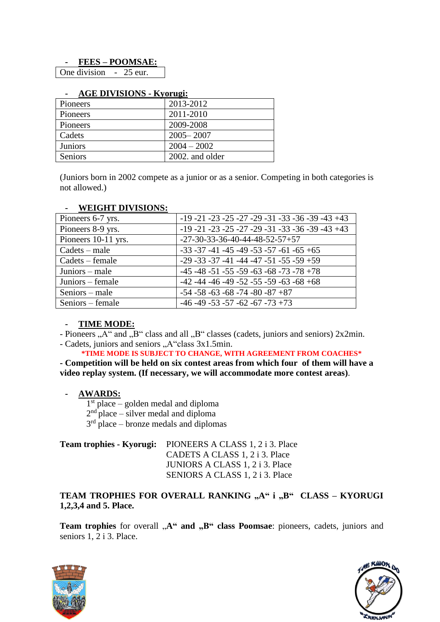#### **- FEES – POOMSAE:**

One division - 25 eur.

| 1100           |                 |
|----------------|-----------------|
| Pioneers       | 2013-2012       |
| Pioneers       | 2011-2010       |
| Pioneers       | 2009-2008       |
| Cadets         | $2005 - 2007$   |
| <b>Juniors</b> | $2004 - 2002$   |
| Seniors        | 2002. and older |

#### **- AGE DIVISIONS - Kyorugi:**

(Juniors born in 2002 compete as a junior or as a senior. Competing in both categories is not allowed.)

| $\blacksquare$ weight beviologie. |                                                              |
|-----------------------------------|--------------------------------------------------------------|
| Pioneers 6-7 yrs.                 | $-19 - 21 - 23 - 25 - 27 - 29 - 31 - 33 - 36 - 39 - 43 + 43$ |
| Pioneers 8-9 yrs.                 | $-19 - 21 - 23 - 25 - 27 - 29 - 31 - 33 - 36 - 39 - 43 + 43$ |
| Pioneers 10-11 yrs.               | $-27-30-33-36-40-44-48-52-57+57$                             |
| $Cades - male$                    | $-33 -37 -41 -45 -49 -53 -57 -61 -65 +65$                    |
| Cadets – female                   | $-29 - 33 - 37 - 41 - 44 - 47 - 51 - 55 - 59 + 59$           |
| Juniors – male                    | $-45 - 48 - 51 - 55 - 59 - 63 - 68 - 73 - 78 + 78$           |
| Juniors – female                  | $-42 - 44 - 46 - 49 - 52 - 55 - 59 - 63 - 68 + 68$           |
| $S$ eniors – male                 | $-54 - 58 - 63 - 68 - 74 - 80 - 87 + 87$                     |
| Seniors – female                  | $-46 - 49 - 53 - 57 - 62 - 67 - 73 + 73$                     |

#### **- WEIGHT DIVISIONS:**

#### **- TIME MODE:**

- Pioneers "A" and "B" class and all "B" classes (cadets, juniors and seniors) 2x2min.

- Cadets, juniors and seniors "A"class 3x1.5min.

**\*TIME MODE IS SUBJECT TO CHANGE, WITH AGREEMENT FROM COACHES\***

**- Competition will be held on six contest areas from which four of them will have a video replay system. (If necessary, we will accommodate more contest areas)**.

#### **- AWARDS:**

1 st place – golden medal and diploma

 $2<sup>nd</sup>$  place – silver medal and diploma

 $3<sup>rd</sup>$  place – bronze medals and diplomas

| <b>Team trophies - Kyorugi:</b> PIONEERS A CLASS 1, 2 i 3. Place |
|------------------------------------------------------------------|
| CADETS A CLASS 1, 2 i 3. Place                                   |
| JUNIORS A CLASS 1, 2 i 3. Place                                  |
| SENIORS A CLASS 1, 2 i 3. Place                                  |

#### TEAM TROPHIES FOR OVERALL RANKING "A" i "B" CLASS – KYORUGI **1,2,3,4 and 5. Place.**

Team trophies for overall "A" and "B" class Poomsae: pioneers, cadets, juniors and seniors 1, 2 i 3. Place.



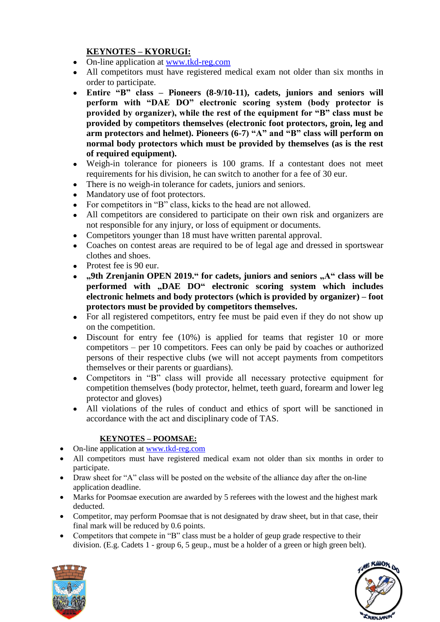### **KEYNOTES – KYORUGI:**

- On-line application at [www.tkd-reg.com](http://www.tkd-reg.com/)
- All competitors must have registered medical exam not older than six months in order to participate.
- **Entire "B" class – Pioneers (8-9/10-11), cadets, juniors and seniors will perform with "DAE DO" electronic scoring system (body protector is provided by organizer), while the rest of the equipment for "B" class must be provided by competitors themselves (electronic foot protectors, groin, leg and arm protectors and helmet). Pioneers (6-7) "A" and "B" class will perform on normal body protectors which must be provided by themselves (as is the rest of required equipment).**
- Weigh-in tolerance for pioneers is 100 grams. If a contestant does not meet requirements for his division, he can switch to another for a fee of 30 eur.
- There is no weigh-in tolerance for cadets, juniors and seniors.
- Mandatory use of foot protectors.
- For competitors in "B" class, kicks to the head are not allowed.
- All competitors are considered to participate on their own risk and organizers are not responsible for any injury, or loss of equipment or documents.
- Competitors younger than 18 must have written parental approval.
- Coaches on contest areas are required to be of legal age and dressed in sportswear clothes and shoes.
- Protest fee is 90 eur.
- **,9th Zrenjanin OPEN 2019. '** for cadets, juniors and seniors  $A$ <sup>"</sup> class will be **performed with "DAE DO" electronic scoring system which includes electronic helmets and body protectors (which is provided by organizer) – foot protectors must be provided by competitors themselves.**
- For all registered competitors, entry fee must be paid even if they do not show up on the competition.
- Discount for entry fee (10%) is applied for teams that register 10 or more competitors – per 10 competitors. Fees can only be paid by coaches or authorized persons of their respective clubs (we will not accept payments from competitors themselves or their parents or guardians).
- Competitors in "B" class will provide all necessary protective equipment for competition themselves (body protector, helmet, teeth guard, forearm and lower leg protector and gloves)
- All violations of the rules of conduct and ethics of sport will be sanctioned in accordance with the act and disciplinary code of TAS.

#### **KEYNOTES – POOMSAE:**

- On-line application at [www.tkd-reg.com](http://www.tkd-reg.com/)
- All competitors must have registered medical exam not older than six months in order to participate.
- Draw sheet for "A" class will be posted on the website of the alliance day after the on-line application deadline.
- Marks for Poomsae execution are awarded by 5 referees with the lowest and the highest mark deducted.
- Competitor, may perform Poomsae that is not designated by draw sheet, but in that case, their final mark will be reduced by 0.6 points.
- Competitors that compete in "B" class must be a holder of geup grade respective to their division. (E.g. Cadets 1 - group 6, 5 geup., must be a holder of a green or high green belt).



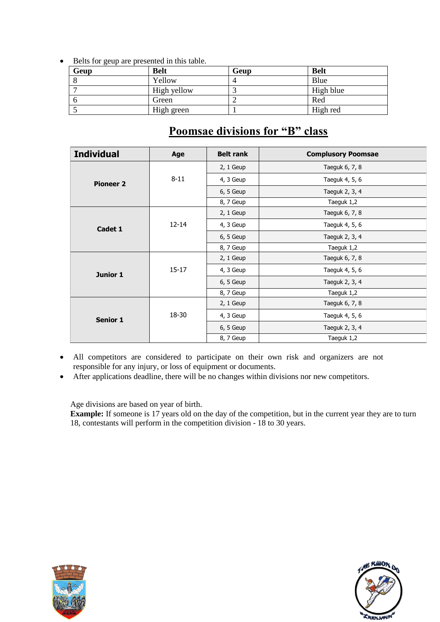Belts for geup are presented in this table.

| ັ<br>Geup | <b>Belt</b> | Geup | <b>Belt</b> |
|-----------|-------------|------|-------------|
|           | Yellow      |      | Blue        |
|           | High yellow |      | High blue   |
|           | Green       |      | Red         |
|           | High green  |      | High red    |

| <b>Individual</b> | Age       | <b>Belt rank</b> | <b>Complusory Poomsae</b> |
|-------------------|-----------|------------------|---------------------------|
| <b>Pioneer 2</b>  |           | $2, 1$ Geup      | Taeguk 6, 7, 8            |
|                   | $8 - 11$  | 4, 3 Geup        | Taeguk 4, 5, 6            |
|                   |           | 6, 5 Geup        | Taeguk 2, 3, 4            |
|                   |           | 8, 7 Geup        | Taeguk 1,2                |
| Cadet 1           |           | $2, 1$ Geup      | Taeguk 6, 7, 8            |
|                   | $12 - 14$ | 4, 3 Geup        | Taeguk 4, 5, 6            |
|                   |           | 6, 5 Geup        | Taeguk 2, 3, 4            |
|                   |           | 8, 7 Geup        | Taeguk 1,2                |
| Junior 1          |           | $2, 1$ Geup      | Taeguk 6, 7, 8            |
|                   | $15 - 17$ | 4, 3 Geup        | Taeguk 4, 5, 6            |
|                   |           | 6, 5 Geup        | Taeguk 2, 3, 4            |
|                   |           | 8, 7 Geup        | Taeguk 1,2                |
| <b>Senior 1</b>   |           | $2, 1$ Geup      | Taeguk 6, 7, 8            |
|                   | 18-30     | 4, 3 Geup        | Taeguk 4, 5, 6            |
|                   |           | 6, 5 Geup        | Taeguk 2, 3, 4            |
|                   |           | 8, 7 Geup        | Taeguk 1,2                |

## **Poomsae divisions for "B" class**

- All competitors are considered to participate on their own risk and organizers are not responsible for any injury, or loss of equipment or documents.
- After applications deadline, there will be no changes within divisions nor new competitors.

Age divisions are based on year of birth.

**Example:** If someone is 17 years old on the day of the competition, but in the current year they are to turn 18, contestants will perform in the competition division - 18 to 30 years.



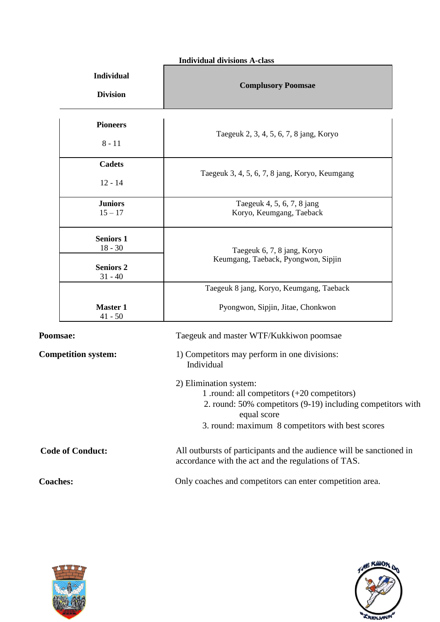#### **Individual divisions A-class**

| <b>Individual</b><br><b>Division</b> |                                                                | <b>Complusory Poomsae</b>                                                                                                                                                                                 |
|--------------------------------------|----------------------------------------------------------------|-----------------------------------------------------------------------------------------------------------------------------------------------------------------------------------------------------------|
|                                      | <b>Pioneers</b><br>$8 - 11$                                    | Taegeuk 2, 3, 4, 5, 6, 7, 8 jang, Koryo                                                                                                                                                                   |
|                                      | <b>Cadets</b><br>$12 - 14$                                     | Taegeuk 3, 4, 5, 6, 7, 8 jang, Koryo, Keumgang                                                                                                                                                            |
|                                      | <b>Juniors</b><br>$15 - 17$                                    | Taegeuk 4, 5, 6, 7, 8 jang<br>Koryo, Keumgang, Taeback                                                                                                                                                    |
|                                      | <b>Seniors 1</b><br>$18 - 30$<br><b>Seniors 2</b><br>$31 - 40$ | Taegeuk 6, 7, 8 jang, Koryo<br>Keumgang, Taeback, Pyongwon, Sipjin                                                                                                                                        |
|                                      | <b>Master 1</b><br>$41 - 50$                                   | Taegeuk 8 jang, Koryo, Keumgang, Taeback<br>Pyongwon, Sipjin, Jitae, Chonkwon                                                                                                                             |
| Poomsae:                             |                                                                | Taegeuk and master WTF/Kukkiwon poomsae                                                                                                                                                                   |
|                                      | <b>Competition system:</b>                                     | 1) Competitors may perform in one divisions:<br>Individual                                                                                                                                                |
|                                      |                                                                | 2) Elimination system:<br>1 .round: all competitors $(+20$ competitors)<br>2. round: 50% competitors (9-19) including competitors with<br>equal score<br>3. round: maximum 8 competitors with best scores |
|                                      | <b>Code of Conduct:</b>                                        | All outbursts of participants and the audience will be sanctioned in<br>accordance with the act and the regulations of TAS.                                                                               |
| <b>Coaches:</b>                      |                                                                | Only coaches and competitors can enter competition area.                                                                                                                                                  |



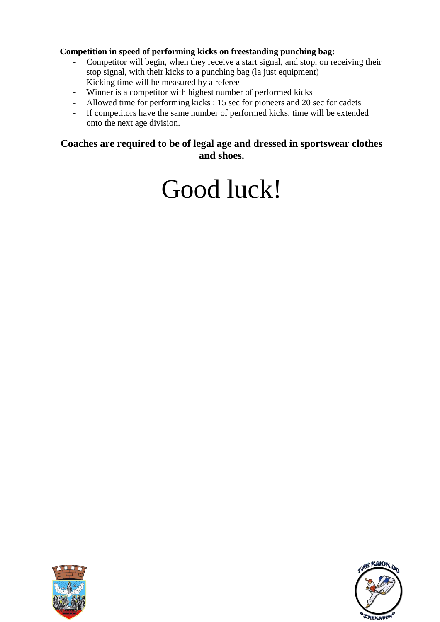#### **Competition in speed of performing kicks on freestanding punching bag:**

- **-** Competitor will begin, when they receive a start signal, and stop, on receiving their stop signal, with their kicks to a punching bag (la just equipment)
- **-** Kicking time will be measured by a referee
- **-** Winner is a competitor with highest number of performed kicks
- **-** Allowed time for performing kicks : 15 sec for pioneers and 20 sec for cadets
- **-** If competitors have the same number of performed kicks, time will be extended onto the next age division.

#### **Coaches are required to be of legal age and dressed in sportswear clothes and shoes.**